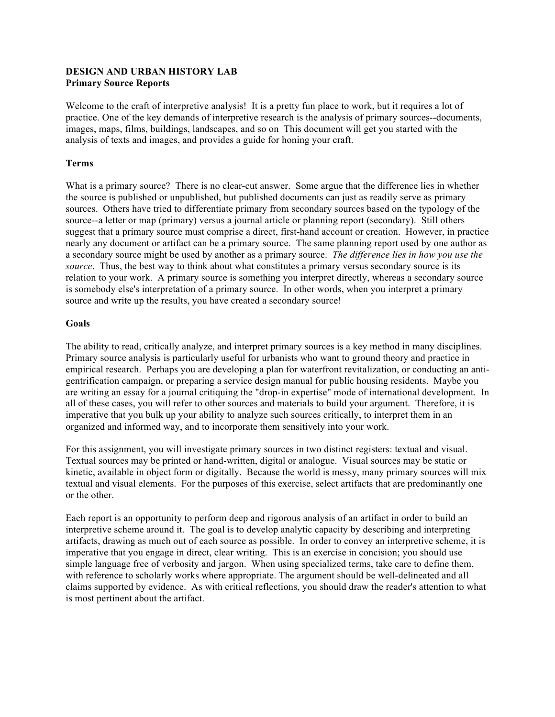## **DESIGN AND URBAN HISTORY LAB Primary Source Reports**

Welcome to the craft of interpretive analysis! It is a pretty fun place to work, but it requires a lot of practice. One of the key demands of interpretive research is the analysis of primary sources--documents, images, maps, films, buildings, landscapes, and so on This document will get you started with the analysis of texts and images, and provides a guide for honing your craft.

## **Terms**

What is a primary source? There is no clear-cut answer. Some argue that the difference lies in whether the source is published or unpublished, but published documents can just as readily serve as primary sources. Others have tried to differentiate primary from secondary sources based on the typology of the source--a letter or map (primary) versus a journal article or planning report (secondary). Still others suggest that a primary source must comprise a direct, first-hand account or creation. However, in practice nearly any document or artifact can be a primary source. The same planning report used by one author as a secondary source might be used by another as a primary source. *The difference lies in how you use the source*. Thus, the best way to think about what constitutes a primary versus secondary source is its relation to your work. A primary source is something you interpret directly, whereas a secondary source is somebody else's interpretation of a primary source. In other words, when you interpret a primary source and write up the results, you have created a secondary source!

## **Goals**

The ability to read, critically analyze, and interpret primary sources is a key method in many disciplines. Primary source analysis is particularly useful for urbanists who want to ground theory and practice in empirical research. Perhaps you are developing a plan for waterfront revitalization, or conducting an antigentrification campaign, or preparing a service design manual for public housing residents. Maybe you are writing an essay for a journal critiquing the "drop-in expertise" mode of international development. In all of these cases, you will refer to other sources and materials to build your argument. Therefore, it is imperative that you bulk up your ability to analyze such sources critically, to interpret them in an organized and informed way, and to incorporate them sensitively into your work.

For this assignment, you will investigate primary sources in two distinct registers: textual and visual. Textual sources may be printed or hand-written, digital or analogue. Visual sources may be static or kinetic, available in object form or digitally. Because the world is messy, many primary sources will mix textual and visual elements. For the purposes of this exercise, select artifacts that are predominantly one or the other.

Each report is an opportunity to perform deep and rigorous analysis of an artifact in order to build an interpretive scheme around it. The goal is to develop analytic capacity by describing and interpreting artifacts, drawing as much out of each source as possible. In order to convey an interpretive scheme, it is imperative that you engage in direct, clear writing. This is an exercise in concision; you should use simple language free of verbosity and jargon. When using specialized terms, take care to define them, with reference to scholarly works where appropriate. The argument should be well-delineated and all claims supported by evidence. As with critical reflections, you should draw the reader's attention to what is most pertinent about the artifact.